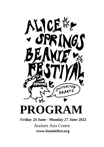

## **Friday 24 June - Monday 27 June 2022**

Araluen Arts Centre **www.beaniefest.org**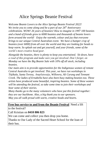*Welcome Beanie Lovers to the Alice Springs Beanie Festival 2022! We invite you to come along and be a part of our 26th Anniversary celebrations. WOW! 26 years of beanies! How to imagine in 1997 100 beanies and a band of friends grew to 6000 beanies and thousands of beanie lovers form around the world! Enjoy the warmth, colour and joy that everyone brings to our unique Central Australian event. We have a bumper crop of beanies (over 6000) from all over the world and they are looking for heads to keep warm. So splash out and get yourself, and your friends, some of the world's most creative head gear.* 

*Alongside the beanies, there is plenty to keep you entertained. Sit down, have a read of this program and make sure you get involved. Don't forget, on Monday we have the Big Beanie Sale with 10% off all stock, including beanies.* 

*Our main aim is to provide opportunities for the Indigenous women of remote Central Australia to get involved. This year, we have run workshops in Titjikala, Santa Teresa, Ampilatwatja, Willowra, Ali Curung and Tennant Creek. The ladies of Ernabella have also been busy making beanies too. These artists have produced some beautiful, inspiring beanies. Some of these women will be attending the festival, so take some time to join their workshops and hear some of their stories.* 

*Many thanks go to the many volunteers who have put this festival together: they are our backbone. Also, a big thank you to our sponsors. May you all walk proud with warm, creative heads and hearts.* 

## **Free bus service to and from the Beanie Festival** Need a lift

to the festival?

### Call Kristian on **0410 806 823**

We can come and collect you then drop you home.

Thanks to Our Lady of the Sacred Heart School for the loan of their bus.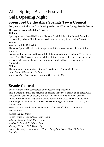# Alice Springs Beanie Festival **Gala Opening Night Sponsored by the Alice Springs Town Council**

Everyone is invited to the Gala Opening and of the 26<sup>th</sup> Alice Springs Beanie Festival.

### **This year's theme is Stitching Hearts**

### **6.00 pm**

Opening address from His Honour Chansey Paech Minister for Central Australia, His Worship, Mayor Matt Paterson, Welcome to Country from Senior Arrernte Women.

Your MC will be Deb White.

The Alice Springs Beanie Festival opens, with the announcement of competition winners.

Beanies will be on sale and there will be lots of entertainment including The Darcy Davis Trio, The Shavings and the Midnight Rangers! And of course, you can pick up many delicious treats from the community food stalls or a drink from the Araluen bar!

#### **7.00pm**

The doors open to exhibition Stitching Hearts in the Araluen Galleries *Date: Friday 24 June, 6 – 8.30pm Venue: Araluen Arts Centre, Larapinta Drive Cost: Free!*

## **Beanie Central**

Beanie Central is the centrepiece of the festival long weekend.

This is where the thrill and mayhem of chasing the perfect beanie takes place, with thousands of beanies on display and for sale. There will be plenty of beanies, Indigenous beanie making, textile workshops and free crotchet workshops. And don't forget our fabulous teashop or even something from the BBQ to keep your bellies warm.

Make sure you head back on Monday: we take 10% off all the beanies and merchandise!

### *Beanie Central Dates:*

*Opens Friday 24 June 2022, 10am – 5pm Saturday 25 June 2022, 10am – 5pm Sunday 26 June 2022, 10am – 5pm Monday 27 June 2022, 10am – 5pm Venue: Witchetty's, Araluen Arts Centre, Larapinta Drive Cost: Gold Coin Donation*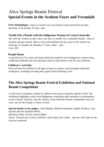# Alice Springs Beanie Festival **Special Events in the Araluen Foyer and Verandah**

**Free Workshops:** Learn to crochet your own beanie (wool and hooks on sale) *Saturday 25 & Sunday 26 June, 2pm*.

#### **Needle Felt a Beanie with the Indigenous Women of Central Australia**

Sit with the women as they show you how to needle felt a beautiful beanie: drop in anytime and get started. Share a story and meditate the day away in the winter sun. *Saturday 25, Sunday 26, Monday 27 June, 10am – 5pm Cost: \$30*

#### **Purple House**

A special treat! Try some real bush medicines made by local Indigenous women using traditional methods and even purchase some to take home to use for your ailments.

#### **Children's Activitie***s*

Free activities for children of all ages to learn to explore yarns through traditional techniques, including weaving and a giant French knitting circle.

### **The Alice Springs Beanie Festival Exhibition and National Beanie Competition**

A wild array of fantastic textiles by makers from across Australia and the world. The exhibition highlights works from Indigenous workshops held annually in communities across Central Australia. See the winners of the National Beanie Competition and cast your vote for the People's Choice Award.

**Special thanks to our judges:**, Dan Murphy, Marlene Rubuntja, Sophie Wallace,, Gay Epstein and Jen Standish White. *Opening Friday 24 June, from 6.00pm Venue: Araluen Arts Centre Galleries. Open daily from 10am – 4pm (or until 5pm on the Festival weekend)*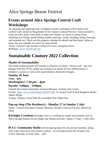## **Events around Alice Springs Central Craft Workshops**

An amazing and inspiring array of fabulous textile workshops will be held at the Central Craft, found on the grounds of the Araluen Cultural Precinct. Treat yourself to some me time, learn a new skill or make new friends. So much to choose from including wet felting, needle felting, basket weaving, crochet, beading, dying, weaving, and wearable art. Check out the program calendar for details and then head online to book. See our calendar of events for more details

*Venue: Central Craft, Araluen [Cul](http://www.centralcraft.org/)tural Precinct, Larapinta Drive Bookings[: www.centralcraft.org](http://www.centralcraft.org/)*

# **Sustainable Couture 2022 Collection**

### **Shades of Sustainability**

The multi-cultural parade will include a collection of classic 'choose well – buy less' designs from the 1970s, simple up-cycling as an option for less skilled sewers, a children's section as well as the usual fabulous distinctive designs.

### **Sunday 26 June 11am - 3pm**. **Marketplace: 1.30 pm – 4pm Parade: 3:00pm – 4:00pm**

Outside the Central Australian Aviation Museum, Araluen Arts Centre Tickets <https://www.trybooking.com/BYUQQ> or Central Craft & Red Kangaroo Books Adults \$25pp At gate: Primary school kids \$5; secondary \$10; littlies free.

### **Pop-up shop (The Residency) - Monday 27 to Sunday 3 July**

*Venue: Central Australian Aviation Museum, Araluen Cultural Precinct, Memorial Drive* 

**Keringke Creations** Keringke Arts is a working art studio environment close to Alice Springs famous for our bright and vibrant artworks .Opens 17 June - 3 July 2022

**8CCC Community Radio** will be playing tunes for you all day Saturday, along with crafty interviews and creative content. *Live broadcast from the Araluen Arts Centre Saturday 25 June 10am – 2pm*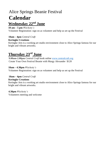# Alice Springs Beanie Festival **Calendar**

### **Wednesday 22<sup>nd</sup> June**

#### **10 am – 5 pm** *Witchetty's*

Volunteer Registration: sign on as volunteer and help us set up the Festival

#### **10am – 4pm** *Central Craft*

#### **Keringke Creations**

Keringke Arts is a working art studio environment close to Alice Springs famous for our bright and vibrant artworks.

## **Thursday 23 rd June**

**9.00am-2.00pm** *Central Craft* book online [www.centralcraft.org](http://www.centralcraft.org/) Create Your Own Festival Beanie with Margy [Alexander](https://centralcraft.org.au/featured-workshops/create-your-own-festival-beanie) \$120

#### **10am – 4.30pm** *Witchetty's*

Volunteer Registration: sign on as volunteer and help us set up the Festival

#### **10am – 4pm** *Central Craft*

#### **Keringke Creations**

Keringke Arts is a working art studio environment close to Alice Springs famous for our bright and vibrant artworks.

#### **4.30pm** *Witchetty's*

Volunteers meeting and welcome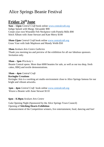## **Friday 24 thJune**

**9am – 12pm** *Central Craft* book online [www.centralcraft.org](http://www.centralcraft.org/)  Indigo Splash with Margy [Alexander](https://centralcraft.org.au/featured-workshops/beanie-festival-indigo-splash) \$90 Create your own Wearable Felt [Neckpiece](https://centralcraft.org.au/featured-workshops/create-your-own-wearable-felt-neckpiece) with Pamela Mills \$90 Stitch Album with Anne [Stewart](https://centralcraft.org.au/featured-workshops/stitch-album) and Kate Merry \$100

**10am-12pm** *Central Craft* book online [www.centralcraft.org](http://www.centralcraft.org/) Grass Vase with Jude [Mapleson](https://centralcraft.org.au/featured-workshops/grass-vase) and Mandy Webb \$50

#### **10am** *Araluen Arts Centre Galleries*

Thank you morning tea and preview of the exhibition for all our fabulous sponsors. Invitation only.

#### **10am – 5pm** *Witchetty's*

Beanie Central opens. More than 6000 beanies for sale, as well as our tea shop, fresh cakes, BBQ and textile demonstrations.

#### **10am – 4pm** *Central Craft*

#### **Keringke Creations**

Keringke Arts is a working art studio environment close to Alice Springs famous for our bright and vibrant artworks.

**1pm – 4pm** *Central Craft* book online [www.centralcraft.org](http://www.centralcraft.org/)  Weave a Beanie with Anne [Stewart](https://centralcraft.org.au/featured-workshops/weave-a-beanie) \$110

#### **6pm – 8.30pm** *Araluen Arts Centre*

Gala Opening Night (Sponsored by the Alice Springs Town Council) Opening of **Stitching Hearts Exhibition** Announcement of the Competition winners, live entertainment, food, dancing and fun!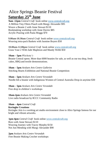## Alice Springs Beanie Festival **Saturday 25th June**

**9am -12pm** *Central Craft* book online [www.centralcraft.org](http://www.centralcraft.org/)  A Million Tiny Fibres Pouch with Margy [Alexander](https://centralcraft.org.au/featured-workshops/a-million-tiny-fibres-pouch) \$95 Weave a Beanie 2 with Anne [Stewart](https://centralcraft.org.au/featured-workshops/weave-a-beanie-2) \$110 Bookmaking workshop with Anne Davies \$85 Acrylic Pouring with Paula Moggs \$70

**9.00am-10.30am** *Central Craft* book online [www.centralcraft.org](http://www.centralcraft.org/)  Weaving [tetra-pack](https://centralcraft.org.au/featured-workshops/weaving-tetra-pack-baskets) Baskets with Jasmine Boyers \$50

**10.00am-12.00pm** *Central Craft* book online [www.centralcraft.org](http://www.centralcraft.org/)  Grass Vase 2 With Jude [Mapleson](https://centralcraft.org.au/featured-workshops/grass-vase-2) and Mandy Webb \$50

**10am – 5pm** *Witchetty's*

Beanie Central opens. More than 6000 beanies for sale, as well as our tea shop, fresh cakes, BBQ and textile demonstrations.

**10am – 5pm** *Araluen Arts Centre Galleries*  Stitching Hearts Exhibition and National Beanie Competition

**10am – 5pm** *Araluen Arts Centre Verandah* Needle felt a beanie with Indigenous Women of Central Australia Drop-in anytime \$30

**10am – 5pm** *Araluen Arts Centre Verandah* Free drop in children's workshops

**10am-2pm** *Araluen Arts Centre Verandah* Live radio broadcast by 8CCC Community Radio

**10am – 4pm** *Central Craft* **Keringke Creations** Keringke Arts is a working art studio environment close to Alice Springs famous for our bright and vibrant artworks.

**1pm-4pm** *Central Craft* book online [www.centralcraft.org](http://www.centralcraft.org/)  Boro with Anne [Stewart](https://centralcraft.org.au/featured-workshops/boro) \$110 [Weaving](https://centralcraft.org.au/featured-workshops/weaving-journey) Journey with Tracey Murphy \$150 Not Just Mending with Margy [Alexander](https://centralcraft.org.au/featured-workshops/not-just-mending) \$90

**2pm** *Araluen Arts Centre Verandah* Free Beanie Making Crochet workshops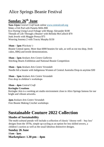## **Sunday 26th June**

**9am-12pm** *Central Craft* book online [www.centralcraft.org](http://www.centralcraft.org/)  Make a Felt Pod with [Pamela](https://centralcraft.org.au/featured-workshops/make-a-felt-pod) Mills \$90 Eco Dyeing Using Local Foliage with Margy [Alexander](https://centralcraft.org.au/featured-workshops/eco-dyeing-using-local-foliage) \$100 Threads of Life Through a Beanie! with Belinda [McCulloch](https://centralcraft.org.au/featured-workshops/threads-of-life-through-a-beanie) \$70 Junk Jewels with Maggie Pereya \$75 Weaving Journey 2 with Tracey Murphy \$150

#### **10am – 5pm** *Witchetty's*

Beanie Central opens. More than 6000 beanies for sale, as well as our tea shop, fresh cakes, BBQ and textile demonstrations.

**10am – 5pm** *Araluen Arts Centre Galleries*  Stitching Hearts Exhibition and National Beanie Competition

**10am – 5pm** *Araluen Arts Centre Verandah* Needle felt a beanie with Indigenous Women of Central Australia Drop-in anytime \$30

**10am – 5pm** *Araluen Arts Centre Verandah* Free drop in children's workshops

**10am – 4pm** *Central Craft* **Keringke Creations** Keringke Arts is a working art studio environment close to Alice Springs famous for our bright and vibrant artworks.

**2pm** *Araluen Arts Centre Verandah* Free Beanie Making Crochet workshops

# **Sustainable Couture 2022 Collection**

### **Shades of Sustainability**

The multi-cultural parade will include a collection of classic 'choose well – buy less' designs from the 1970s, simple up-cycling as an option for less skilled sewers, a children's section as well as the usual fabulous distinctive designs.

**Sunday 26 June 11am - 3pm**. **Marketplace: 1.30 pm – 4pm**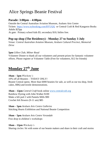### **Parade: 3:00pm – 4:00pm**

Outside the Central Australian Aviation Museum, Araluen Arts Centre Tickets <https://www.trybooking.com/BYUQQ> or Central Craft & Red Kangaroo Books Adults \$25pp At gate: Primary school kids \$5; secondary \$10; littlies free.

### **Pop-up shop (The Residency) - Monday 27 to Sunday 3 July**

*Venue: Central Australian Aviation Museum, Araluen Cultural Precinct, Memorial Drive* 

#### **5pm** *Gillen Club, Milner Road*

Volunteer Dinner to thank all our volunteers and present prizes for fantastic volunteer efforts. Please register at Volunteer Table (Free for volunteers, \$12 for friends)

## **Monday 27th June**

**10am – 5pm** *Witchetty's*

10% off all Beanies – TODAY ONLY! Beanie Central opens. More than 6000 beanies for sale, as well as our tea shop, fresh cakes, BBQ and textile demonstrations.

**10am – 12pm** *Central Craft* book online [www.centralcraft.org](http://www.centralcraft.org/)  [Rainbow](https://centralcraft.org.au/featured-workshops/rainbow-dyeing) Dyeing with John Walker \$100 Make a felt pod 2 with Pamela Mills \$90 Crochet felt flowers (9-11 am) \$85

**10am – 5pm** *Araluen Arts Centre Galleries*  Stitching Hearts Exhibition and National Beanie Competition

**10am – 5pm** *Araluen Arts Centre Verandah* Free drop in children's workshops

**10am – 12pm** *Witchetty's*  Sharing circles: Sit with some of our beanie makers and share in their craft and stories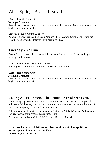#### **10am – 4pm** *Central Craft*

#### **Keringke Creations**

Keringke Arts is a working art studio environment close to Alice Springs famous for our bright and vibrant artworks.

#### **1pm** *Araluen Arts Centre Galleries*

Announcement of the Bendigo Bank Peoples' Choice Award. Come along to find out who the people voted as their favourite beanie for 2022.

## **Tuesday 28th June**

Beanie Central is now closed and with it, the main festival arena. Come and help us pack up and bump out!

**10am – 4pm** *Araluen Arts Centre Galleries*  Stitching Hearts Exhibition and National Beanie Competition

#### **10am – 4pm** *Central Craft*

#### **Keringke Creations**

Keringke Arts is a working art studio environment close to Alice Springs famous for our bright and vibrant artworks.

### **Calling All Volunteers: The Beanie Festival needs you!**

The Alice Springs Beanie Festival is a community event and runs on the support of volunteers. We love anyone who can come along and give a helping hand  $-$  it's a lot of fun! There are plenty of jobs and times available.

Put your name on the roster at the Volunteer Station in Witchetty's at the Araluen Arts Centre, anytime from Wednesday 22 June, 11am. *Any inquiries?* Call Jo on 0408 436 927 or Deb on 0455 551 383

### **Stitching Hearts Exhibition and National Beanie Competition**

**10am – 4pm** *Araluen Arts Centre Galleries* **Open everyday til July 15**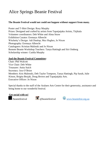#### **The Beanie Festival would not could not happen without support from many.**

Poster and T-Shirt Design: Rosy Murphy Prizes: Designed and crafted by artists from Tapatjatjaka Artists, Titjikala Volunteer coordinators: Deb White and Alma Straw Exhibition Curator: Eremaya Albrecht Witchetty's Design: Adi Dunlop, Mez Hughes, Jo Nixon Photography: Eremaya Albrecht Cataloguers: Kristian Malinski and Jo Nixon Remote Beanie Workshop Teachers: Tanya Hattingh and Siri Omberg Scholarship winner: Cushla Murphy

#### **And the Beanie Festival Committee:**

Chair: Phil Walcott Vice Chair: Deb White Treasurer: Anita Suich Secretary: Jess O'Brien Members: Kris Malenski, Deb Taylor Tompson, Tanya Hattingh, Pip Sarah, Julie Kitson, Brigita Bezjak, Doug Brown and Tapatjatjaka Arts. Executive Officer: Jo Nixon

Special thanks to the staff of the Araluen Arts Centre for their generosity, assistance and being home to our wonderful festival.

**Get social with us!**

*heaniefestival*  $\bullet$  @beaniefestival  $\bullet$  [www.beaniefest.org.](http://www.beaniefest.org.au/)au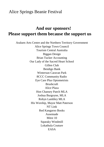## **And our sponsors! Please support them because the support us**

Araluen Arts Centre and the Northern Territory Government Alice Springs Town Council Tourism Central Australia Biggan Design Brian Tucker Accounting Our Lady of the Sacred Heart School Gillen Club Bendigo Bank Wintersun Caravan Park 8CCC Community Radio Eye Care Plus Optometrists Brushcraft Alice Plaza Hon Chansey Paech MLA Joshua Burgoyne, MLA Robyn Lambley MLA His Worship, Mayor Matt Paterson NT Link Red Kangaroo Books Ausemade Mitre 10 Squeaky Windmill Lokathula Couture EASA